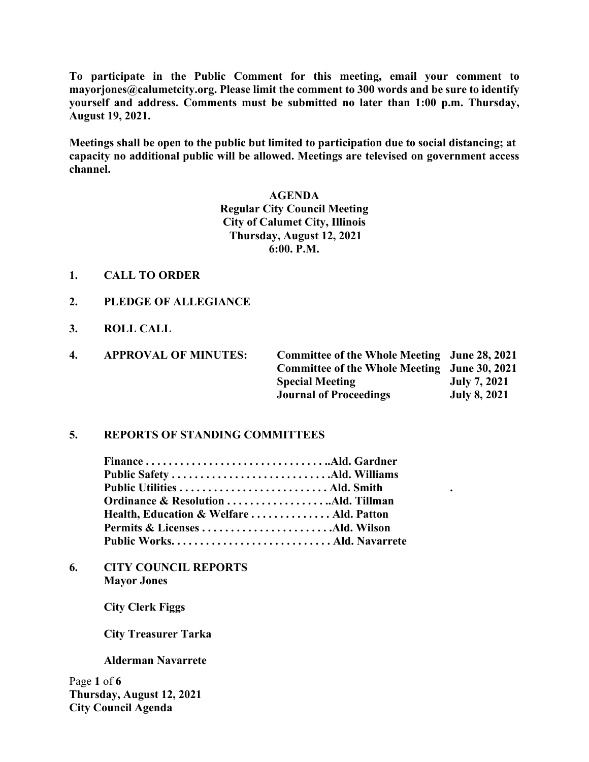**To participate in the Public Comment for this meeting, email your comment to mayorjones@calumetcity.org. Please limit the comment to 300 words and be sure to identify yourself and address. Comments must be submitted no later than 1:00 p.m. Thursday, August 19, 2021.**

**Meetings shall be open to the public but limited to participation due to social distancing; at capacity no additional public will be allowed. Meetings are televised on government access channel.**

> **AGENDA Regular City Council Meeting City of Calumet City, Illinois Thursday, August 12, 2021 6:00. P.M.**

- **1. CALL TO ORDER**
- **2. PLEDGE OF ALLEGIANCE**
- **3. ROLL CALL**

| 4. | <b>APPROVAL OF MINUTES:</b> | Committee of the Whole Meeting June 28, 2021 |                     |
|----|-----------------------------|----------------------------------------------|---------------------|
|    |                             | Committee of the Whole Meeting June 30, 2021 |                     |
|    |                             | <b>Special Meeting</b>                       | July 7, 2021        |
|    |                             | <b>Journal of Proceedings</b>                | <b>July 8, 2021</b> |

## **5. REPORTS OF STANDING COMMITTEES**

| Health, Education & Welfare  Ald. Patton |  |
|------------------------------------------|--|
| Permits & Licenses Ald. Wilson           |  |
|                                          |  |

**6. CITY COUNCIL REPORTS Mayor Jones** 

**City Clerk Figgs**

 **City Treasurer Tarka**

**Alderman Navarrete**

Page **1** of **6 Thursday, August 12, 2021 City Council Agenda**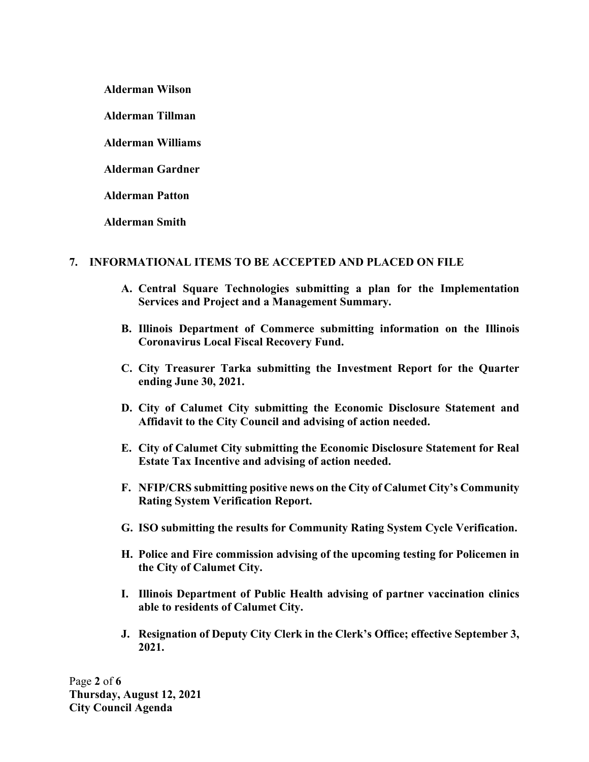**Alderman Wilson**

**Alderman Tillman**

**Alderman Williams**

**Alderman Gardner**

**Alderman Patton**

**Alderman Smith**

# **7. INFORMATIONAL ITEMS TO BE ACCEPTED AND PLACED ON FILE**

- **A. Central Square Technologies submitting a plan for the Implementation Services and Project and a Management Summary.**
- **B. Illinois Department of Commerce submitting information on the Illinois Coronavirus Local Fiscal Recovery Fund.**
- **C. City Treasurer Tarka submitting the Investment Report for the Quarter ending June 30, 2021.**
- **D. City of Calumet City submitting the Economic Disclosure Statement and Affidavit to the City Council and advising of action needed.**
- **E. City of Calumet City submitting the Economic Disclosure Statement for Real Estate Tax Incentive and advising of action needed.**
- **F. NFIP/CRS submitting positive news on the City of Calumet City's Community Rating System Verification Report.**
- **G. ISO submitting the results for Community Rating System Cycle Verification.**
- **H. Police and Fire commission advising of the upcoming testing for Policemen in the City of Calumet City.**
- **I. Illinois Department of Public Health advising of partner vaccination clinics able to residents of Calumet City.**
- **J. Resignation of Deputy City Clerk in the Clerk's Office; effective September 3, 2021.**

Page **2** of **6 Thursday, August 12, 2021 City Council Agenda**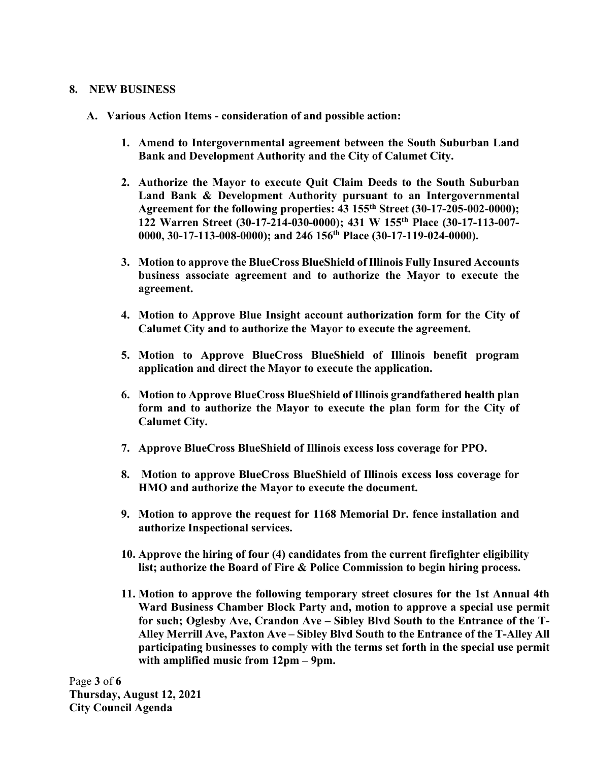### **8. NEW BUSINESS**

- **A. Various Action Items - consideration of and possible action:** 
	- **1. Amend to Intergovernmental agreement between the South Suburban Land Bank and Development Authority and the City of Calumet City.**
	- **2. Authorize the Mayor to execute Quit Claim Deeds to the South Suburban Land Bank & Development Authority pursuant to an Intergovernmental Agreement for the following properties: 43 155th Street (30-17-205-002-0000); 122 Warren Street (30-17-214-030-0000); 431 W 155th Place (30-17-113-007- 0000, 30-17-113-008-0000); and 246 156th Place (30-17-119-024-0000).**
	- **3. Motion to approve the BlueCross BlueShield of Illinois Fully Insured Accounts business associate agreement and to authorize the Mayor to execute the agreement.**
	- **4. Motion to Approve Blue Insight account authorization form for the City of Calumet City and to authorize the Mayor to execute the agreement.**
	- **5. Motion to Approve BlueCross BlueShield of Illinois benefit program application and direct the Mayor to execute the application.**
	- **6. Motion to Approve BlueCross BlueShield of Illinois grandfathered health plan form and to authorize the Mayor to execute the plan form for the City of Calumet City.**
	- **7. Approve BlueCross BlueShield of Illinois excess loss coverage for PPO.**
	- **8. Motion to approve BlueCross BlueShield of Illinois excess loss coverage for HMO and authorize the Mayor to execute the document.**
	- **9. Motion to approve the request for 1168 Memorial Dr. fence installation and authorize Inspectional services.**
	- **10. Approve the hiring of four (4) candidates from the current firefighter eligibility list; authorize the Board of Fire & Police Commission to begin hiring process.**
	- **11. Motion to approve the following temporary street closures for the 1st Annual 4th Ward Business Chamber Block Party and, motion to approve a special use permit for such; Oglesby Ave, Crandon Ave – Sibley Blvd South to the Entrance of the T-Alley Merrill Ave, Paxton Ave – Sibley Blvd South to the Entrance of the T-Alley All participating businesses to comply with the terms set forth in the special use permit with amplified music from 12pm – 9pm.**

Page **3** of **6 Thursday, August 12, 2021 City Council Agenda**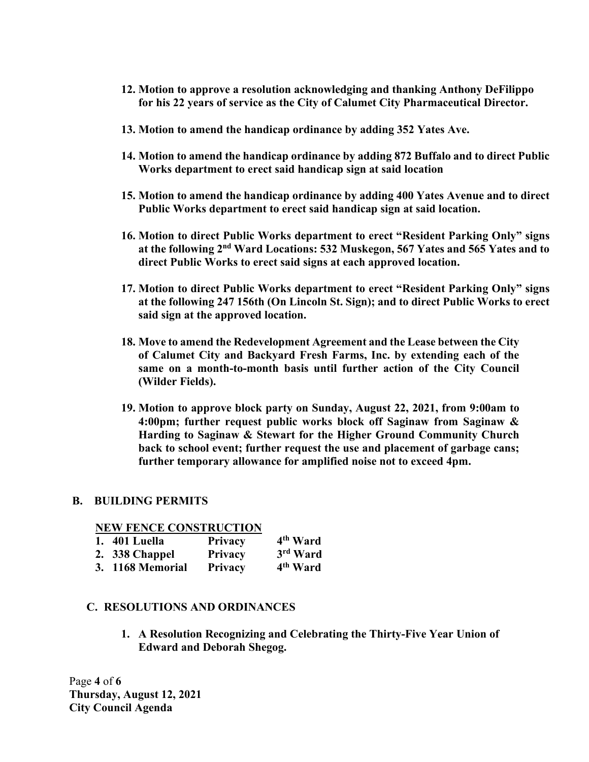- **12. Motion to approve a resolution acknowledging and thanking Anthony DeFilippo for his 22 years of service as the City of Calumet City Pharmaceutical Director.**
- **13. Motion to amend the handicap ordinance by adding 352 Yates Ave.**
- **14. Motion to amend the handicap ordinance by adding 872 Buffalo and to direct Public Works department to erect said handicap sign at said location**
- **15. Motion to amend the handicap ordinance by adding 400 Yates Avenue and to direct Public Works department to erect said handicap sign at said location.**
- **16. Motion to direct Public Works department to erect "Resident Parking Only" signs at the following 2nd Ward Locations: 532 Muskegon, 567 Yates and 565 Yates and to direct Public Works to erect said signs at each approved location.**
- **17. Motion to direct Public Works department to erect "Resident Parking Only" signs at the following 247 156th (On Lincoln St. Sign); and to direct Public Works to erect said sign at the approved location.**
- **18. Move to amend the Redevelopment Agreement and the Lease between the City of Calumet City and Backyard Fresh Farms, Inc. by extending each of the same on a month-to-month basis until further action of the City Council (Wilder Fields).**
- **19. Motion to approve block party on Sunday, August 22, 2021, from 9:00am to 4:00pm; further request public works block off Saginaw from Saginaw & Harding to Saginaw & Stewart for the Higher Ground Community Church back to school event; further request the use and placement of garbage cans; further temporary allowance for amplified noise not to exceed 4pm.**

### **B. BUILDING PERMITS**

#### **NEW FENCE CONSTRUCTION**

| 1. 401 Luella    | <b>Privacy</b> | 4 <sup>th</sup> Ward |
|------------------|----------------|----------------------|
| 2. 338 Chappel   | <b>Privacy</b> | 3rd Ward             |
| 3. 1168 Memorial | <b>Privacy</b> | 4 <sup>th</sup> Ward |

### **C. RESOLUTIONS AND ORDINANCES**

**1. A Resolution Recognizing and Celebrating the Thirty-Five Year Union of Edward and Deborah Shegog.** 

Page **4** of **6 Thursday, August 12, 2021 City Council Agenda**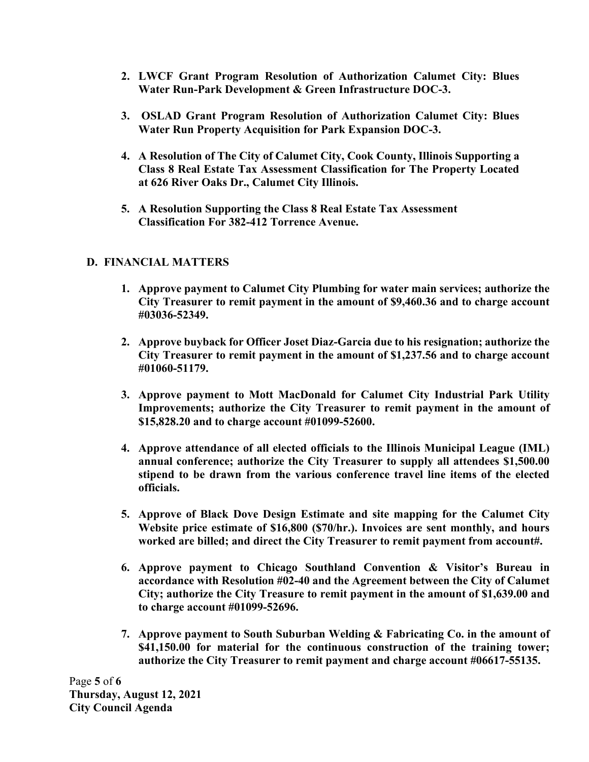- **2. LWCF Grant Program Resolution of Authorization Calumet City: Blues Water Run-Park Development & Green Infrastructure DOC-3.**
- **3. OSLAD Grant Program Resolution of Authorization Calumet City: Blues Water Run Property Acquisition for Park Expansion DOC-3.**
- **4. A Resolution of The City of Calumet City, Cook County, Illinois Supporting a Class 8 Real Estate Tax Assessment Classification for The Property Located at 626 River Oaks Dr., Calumet City Illinois.**
- **5. A Resolution Supporting the Class 8 Real Estate Tax Assessment Classification For 382-412 Torrence Avenue.**

# **D. FINANCIAL MATTERS**

- **1. Approve payment to Calumet City Plumbing for water main services; authorize the City Treasurer to remit payment in the amount of \$9,460.36 and to charge account #03036-52349.**
- **2. Approve buyback for Officer Joset Diaz-Garcia due to his resignation; authorize the City Treasurer to remit payment in the amount of \$1,237.56 and to charge account #01060-51179.**
- **3. Approve payment to Mott MacDonald for Calumet City Industrial Park Utility Improvements; authorize the City Treasurer to remit payment in the amount of \$15,828.20 and to charge account #01099-52600.**
- **4. Approve attendance of all elected officials to the Illinois Municipal League (IML) annual conference; authorize the City Treasurer to supply all attendees \$1,500.00 stipend to be drawn from the various conference travel line items of the elected officials.**
- **5. Approve of Black Dove Design Estimate and site mapping for the Calumet City Website price estimate of \$16,800 (\$70/hr.). Invoices are sent monthly, and hours worked are billed; and direct the City Treasurer to remit payment from account#.**
- **6. Approve payment to Chicago Southland Convention & Visitor's Bureau in accordance with Resolution #02-40 and the Agreement between the City of Calumet City; authorize the City Treasure to remit payment in the amount of \$1,639.00 and to charge account #01099-52696.**
- **7. Approve payment to South Suburban Welding & Fabricating Co. in the amount of \$41,150.00 for material for the continuous construction of the training tower; authorize the City Treasurer to remit payment and charge account #06617-55135.**

Page **5** of **6 Thursday, August 12, 2021 City Council Agenda**